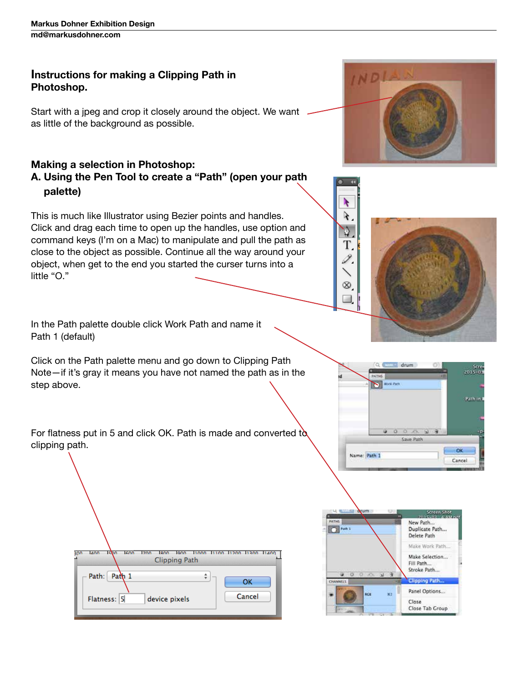## **Instructions for making a Clipping Path in Photoshop.**

Start with a jpeg and crop it closely around the object. We want as little of the background as possible.

## **Making a selection in Photoshop: A. Using the Pen Tool to create a "Path" (open your path palette)**

This is much like Illustrator using Bezier points and handles. Click and drag each time to open up the handles, use option and command keys (I'm on a Mac) to manipulate and pull the path as close to the object as possible. Continue all the way around your object, when get to the end you started the curser turns into a little "O."



In the Path palette double click Work Path and name it Path 1 (default)

Click on the Path palette menu and go down to Clipping Path Note—if it's gray it means you have not named the path as in the step above.



For flatness put in 5 and click OK. Path is made and converted to clipping path.

| Ishn<br><b>IGO0</b><br><b>LAOD</b><br>300 | 1700<br>1800<br>lonn. | 11000 11100 11200 11300 11400 |
|-------------------------------------------|-----------------------|-------------------------------|
|                                           | <b>Clipping Path</b>  |                               |
| Path 1<br>Path:<br>Flatness: 5            | device pixels         | OK<br>Cancel                  |





Ŋ ¥.  $\Delta$ T, I.

 $\equiv$